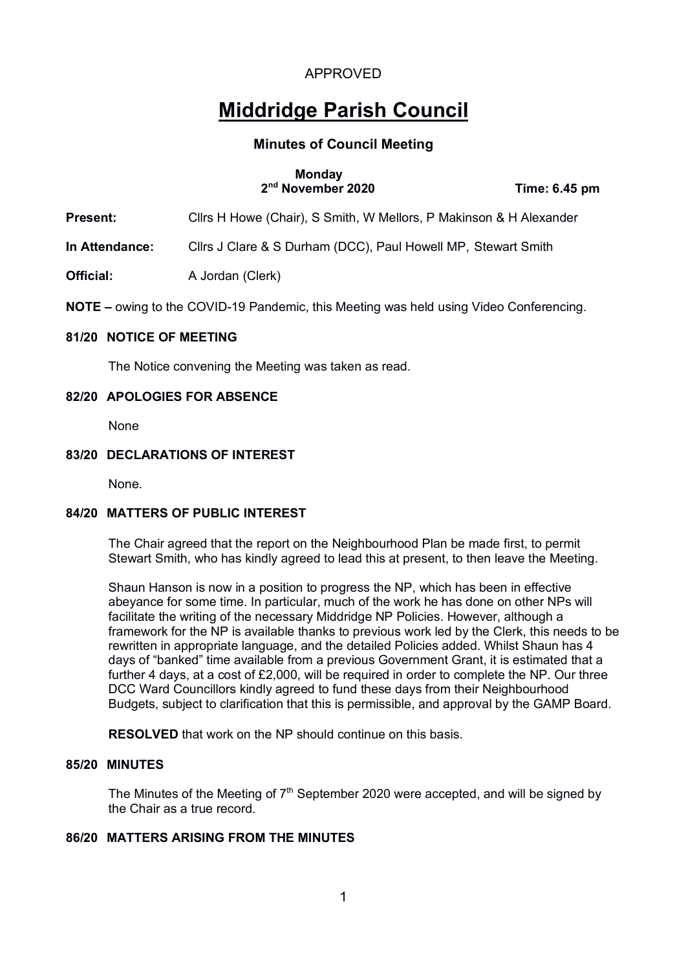# **Middridge Parish Council**

## **Minutes of Council Meeting**

#### **Monday 2nd November 2020 Time: 6.45 pm**

**Present:** Cllrs H Howe (Chair), S Smith, W Mellors, P Makinson & H Alexander

**In Attendance:** Cllrs J Clare & S Durham (DCC), Paul Howell MP, Stewart Smith

**Official:** A Jordan (Clerk)

**NOTE –** owing to the COVID-19 Pandemic, this Meeting was held using Video Conferencing.

#### **81/20 NOTICE OF MEETING**

The Notice convening the Meeting was taken as read.

#### **82/20 APOLOGIES FOR ABSENCE**

None

#### **83/20 DECLARATIONS OF INTEREST**

None.

## **84/20 MATTERS OF PUBLIC INTEREST**

The Chair agreed that the report on the Neighbourhood Plan be made first, to permit Stewart Smith, who has kindly agreed to lead this at present, to then leave the Meeting.

Shaun Hanson is now in a position to progress the NP, which has been in effective abeyance for some time. In particular, much of the work he has done on other NPs will facilitate the writing of the necessary Middridge NP Policies. However, although a framework for the NP is available thanks to previous work led by the Clerk, this needs to be rewritten in appropriate language, and the detailed Policies added. Whilst Shaun has 4 days of "banked" time available from a previous Government Grant, it is estimated that a further 4 days, at a cost of £2,000, will be required in order to complete the NP. Our three DCC Ward Councillors kindly agreed to fund these days from their Neighbourhood Budgets, subject to clarification that this is permissible, and approval by the GAMP Board.

**RESOLVED** that work on the NP should continue on this basis.

#### **85/20 MINUTES**

The Minutes of the Meeting of  $7<sup>th</sup>$  September 2020 were accepted, and will be signed by the Chair as a true record.

## **86/20 MATTERS ARISING FROM THE MINUTES**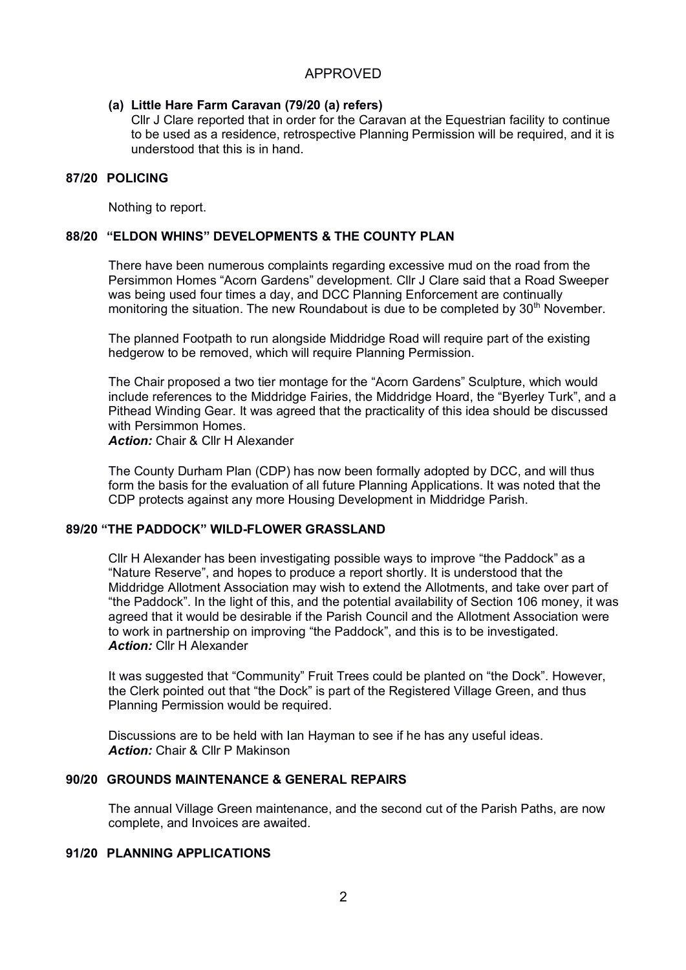## **(a) Little Hare Farm Caravan (79/20 (a) refers)**

Cllr J Clare reported that in order for the Caravan at the Equestrian facility to continue to be used as a residence, retrospective Planning Permission will be required, and it is understood that this is in hand.

#### **87/20 POLICING**

Nothing to report.

### **88/20 "ELDON WHINS" DEVELOPMENTS & THE COUNTY PLAN**

There have been numerous complaints regarding excessive mud on the road from the Persimmon Homes "Acorn Gardens" development. Cllr J Clare said that a Road Sweeper was being used four times a day, and DCC Planning Enforcement are continually monitoring the situation. The new Roundabout is due to be completed by  $30<sup>th</sup>$  November.

The planned Footpath to run alongside Middridge Road will require part of the existing hedgerow to be removed, which will require Planning Permission.

The Chair proposed a two tier montage for the "Acorn Gardens" Sculpture, which would include references to the Middridge Fairies, the Middridge Hoard, the "Byerley Turk", and a Pithead Winding Gear. It was agreed that the practicality of this idea should be discussed with Persimmon Homes.

*Action:* Chair & Cllr H Alexander

The County Durham Plan (CDP) has now been formally adopted by DCC, and will thus form the basis for the evaluation of all future Planning Applications. It was noted that the CDP protects against any more Housing Development in Middridge Parish.

#### **89/20 "THE PADDOCK" WILD-FLOWER GRASSLAND**

Cllr H Alexander has been investigating possible ways to improve "the Paddock" as a "Nature Reserve", and hopes to produce a report shortly. It is understood that the Middridge Allotment Association may wish to extend the Allotments, and take over part of "the Paddock". In the light of this, and the potential availability of Section 106 money, it was agreed that it would be desirable if the Parish Council and the Allotment Association were to work in partnership on improving "the Paddock", and this is to be investigated. *Action:* Cllr H Alexander

It was suggested that "Community" Fruit Trees could be planted on "the Dock". However, the Clerk pointed out that "the Dock" is part of the Registered Village Green, and thus Planning Permission would be required.

Discussions are to be held with Ian Hayman to see if he has any useful ideas. *Action:* Chair & Cllr P Makinson

#### **90/20 GROUNDS MAINTENANCE & GENERAL REPAIRS**

The annual Village Green maintenance, and the second cut of the Parish Paths, are now complete, and Invoices are awaited.

#### **91/20 PLANNING APPLICATIONS**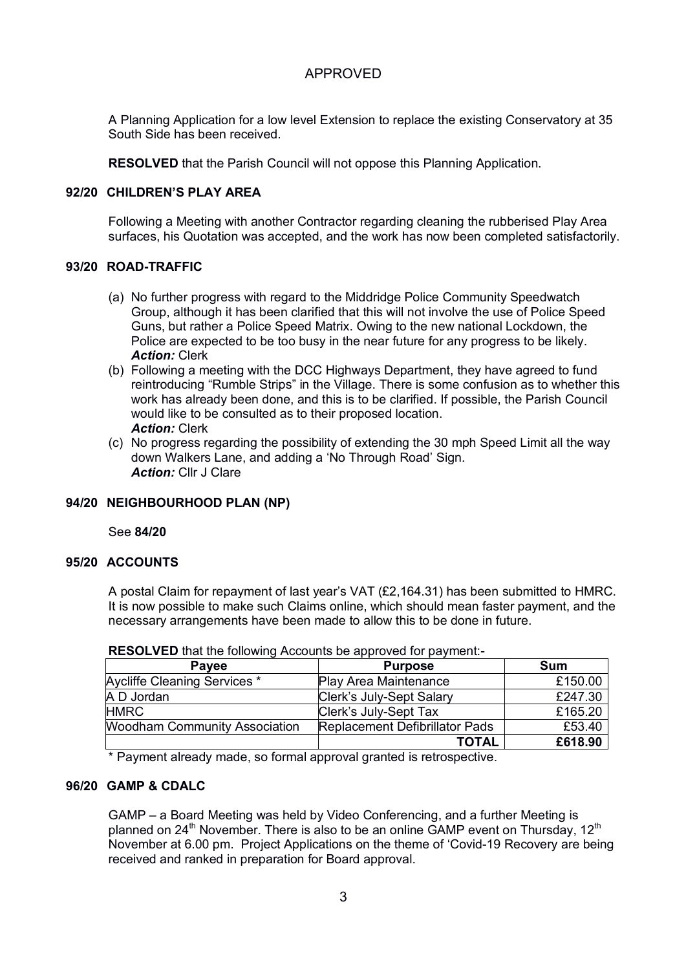A Planning Application for a low level Extension to replace the existing Conservatory at 35 South Side has been received.

**RESOLVED** that the Parish Council will not oppose this Planning Application.

#### **92/20 CHILDREN'S PLAY AREA**

Following a Meeting with another Contractor regarding cleaning the rubberised Play Area surfaces, his Quotation was accepted, and the work has now been completed satisfactorily.

#### **93/20 ROAD-TRAFFIC**

- (a) No further progress with regard to the Middridge Police Community Speedwatch Group, although it has been clarified that this will not involve the use of Police Speed Guns, but rather a Police Speed Matrix. Owing to the new national Lockdown, the Police are expected to be too busy in the near future for any progress to be likely. *Action:* Clerk
- (b) Following a meeting with the DCC Highways Department, they have agreed to fund reintroducing "Rumble Strips" in the Village. There is some confusion as to whether this work has already been done, and this is to be clarified. If possible, the Parish Council would like to be consulted as to their proposed location. *Action:* Clerk
- (c) No progress regarding the possibility of extending the 30 mph Speed Limit all the way down Walkers Lane, and adding a 'No Through Road' Sign. *Action:* Cllr J Clare

### **94/20 NEIGHBOURHOOD PLAN (NP)**

See **84/20**

#### **95/20 ACCOUNTS**

A postal Claim for repayment of last year's VAT (£2,164.31) has been submitted to HMRC. It is now possible to make such Claims online, which should mean faster payment, and the necessary arrangements have been made to allow this to be done in future.

| <b>Pavee</b>                         | <b>Purpose</b>                        | Sum     |
|--------------------------------------|---------------------------------------|---------|
| Aycliffe Cleaning Services *         | <b>Play Area Maintenance</b>          | £150.00 |
| A D Jordan                           | Clerk's July-Sept Salary              | £247.30 |
| <b>HMRC</b>                          | Clerk's July-Sept Tax                 | £165.20 |
| <b>Woodham Community Association</b> | <b>Replacement Defibrillator Pads</b> | £53.40  |
|                                      | <b>TOTAL</b>                          | £618.90 |

**RESOLVED** that the following Accounts be approved for payment:-

\* Payment already made, so formal approval granted is retrospective.

#### **96/20 GAMP & CDALC**

GAMP – a Board Meeting was held by Video Conferencing, and a further Meeting is planned on 24<sup>th</sup> November. There is also to be an online GAMP event on Thursday, 12<sup>th</sup> November at 6.00 pm. Project Applications on the theme of 'Covid-19 Recovery are being received and ranked in preparation for Board approval.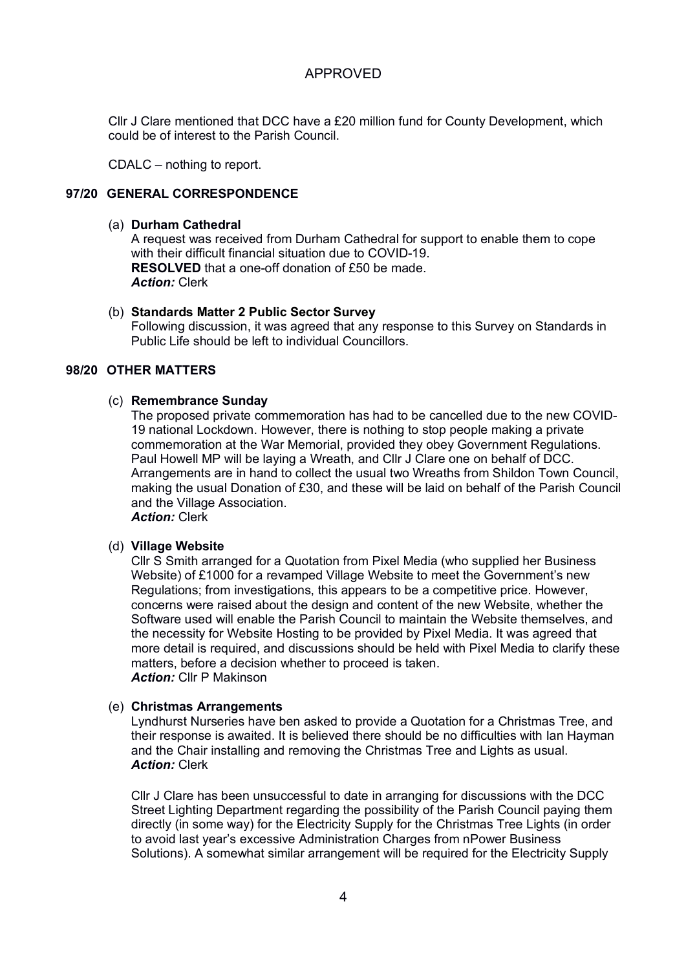Cllr J Clare mentioned that DCC have a £20 million fund for County Development, which could be of interest to the Parish Council.

CDALC – nothing to report.

### **97/20 GENERAL CORRESPONDENCE**

#### (a) **Durham Cathedral**

A request was received from Durham Cathedral for support to enable them to cope with their difficult financial situation due to COVID-19. **RESOLVED** that a one-off donation of £50 be made. *Action:* Clerk

### (b) **Standards Matter 2 Public Sector Survey**

Following discussion, it was agreed that any response to this Survey on Standards in Public Life should be left to individual Councillors.

### **98/20 OTHER MATTERS**

#### (c) **Remembrance Sunday**

The proposed private commemoration has had to be cancelled due to the new COVID-19 national Lockdown. However, there is nothing to stop people making a private commemoration at the War Memorial, provided they obey Government Regulations. Paul Howell MP will be laying a Wreath, and Cllr J Clare one on behalf of DCC. Arrangements are in hand to collect the usual two Wreaths from Shildon Town Council, making the usual Donation of £30, and these will be laid on behalf of the Parish Council and the Village Association.

*Action:* Clerk

### (d) **Village Website**

Cllr S Smith arranged for a Quotation from Pixel Media (who supplied her Business Website) of £1000 for a revamped Village Website to meet the Government's new Regulations; from investigations, this appears to be a competitive price. However, concerns were raised about the design and content of the new Website, whether the Software used will enable the Parish Council to maintain the Website themselves, and the necessity for Website Hosting to be provided by Pixel Media. It was agreed that more detail is required, and discussions should be held with Pixel Media to clarify these matters, before a decision whether to proceed is taken. *Action:* Cllr P Makinson

### (e) **Christmas Arrangements**

Lyndhurst Nurseries have ben asked to provide a Quotation for a Christmas Tree, and their response is awaited. It is believed there should be no difficulties with Ian Hayman and the Chair installing and removing the Christmas Tree and Lights as usual. *Action:* Clerk

Cllr J Clare has been unsuccessful to date in arranging for discussions with the DCC Street Lighting Department regarding the possibility of the Parish Council paying them directly (in some way) for the Electricity Supply for the Christmas Tree Lights (in order to avoid last year's excessive Administration Charges from nPower Business Solutions). A somewhat similar arrangement will be required for the Electricity Supply